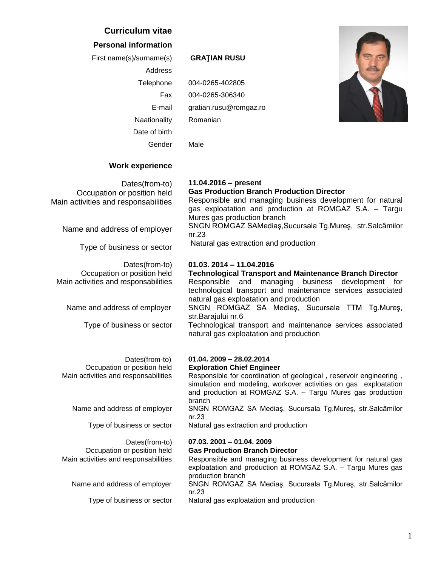## **Curriculum vitae**

## **Personal information**

First name(s)/surname(s) **GRAŢIAN RUSU**

Address

Date of birth

Gender Male

Telephone 004-0265-402805 Fax 004-0265-306340 E-mail gratian.rusu@romgaz.ro Naationality Romanian



## **Work experience**

Dates(from-to) Occupation or position held Main activities and responsabilities

Name and address of employer

Type of business or sector

Dates(from-to) Occupation or position held Main activities and responsabilities

Name and address of employer

Type of business or sector

**11.04.2016 – present Gas Production Branch Production Director** Responsible and managing business development for natural gas exploatation and production at ROMGAZ S.A. – Targu Mures gas production branch SNGN ROMGAZ SAMediaş,Sucursala Tg.Mureş, str.Salcâmilor

nr.23 Natural gas extraction and production

## **01.03. 2014 – 11.04.2016**

#### **Technological Transport and Maintenance Branch Director**

Responsible and managing business development for technological transport and maintenance services associated natural gas exploatation and production

SNGN ROMGAZ SA Mediaş, Sucursala TTM Tg.Mureş, str.Barajului nr.6

Technological transport and maintenance services associated natural gas exploatation and production

#### Dates(from-to) **01.04. 2009 – 28.02.2014** Occupation or position held **Exploration Chief Engineer**

Main activities and responsabilities Responsible for coordination of geological, reservoir engineering, simulation and modeling, workover activities on gas exploatation and production at ROMGAZ S.A. – Targu Mures gas production branch Name and address of employer SNGN ROMGAZ SA Mediaş, Sucursala Tg.Mureş, str.Salcâmilor nr.23

Type of business or sector Natural gas extraction and production

# Dates(from-to) **07.03. 2001 – 01.04. 2009**

## Occupation or position held **Gas Production Branch Director**

Main activities and responsabilities Responsible and managing business development for natural gas exploatation and production at ROMGAZ S.A. – Targu Mures gas production branch Name and address of employer SNGN ROMGAZ SA Mediaş, Sucursala Tg.Mureş, str.Salcâmilor

nr.23

Type of business or sector Natural gas exploatation and production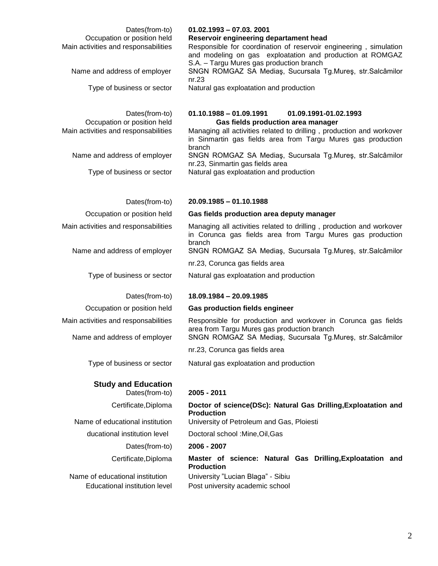| Dates(from-to)<br>Occupation or position held<br>Main activities and responsabilities<br>Name and address of employer<br>Type of business or sector | $01.02.1993 - 07.03.2001$<br>Reservoir engineering departament head<br>Responsible for coordination of reservoir engineering, simulation<br>and modeling on gas exploatation and production at ROMGAZ<br>S.A. - Targu Mures gas production branch<br>SNGN ROMGAZ SA Mediaş, Sucursala Tg.Mureş, str.Salcâmilor<br>nr.23<br>Natural gas exploatation and production                     |
|-----------------------------------------------------------------------------------------------------------------------------------------------------|----------------------------------------------------------------------------------------------------------------------------------------------------------------------------------------------------------------------------------------------------------------------------------------------------------------------------------------------------------------------------------------|
| Dates(from-to)<br>Occupation or position held<br>Main activities and responsabilities<br>Name and address of employer<br>Type of business or sector | $01.10.1988 - 01.09.1991$<br>01.09.1991-01.02.1993<br>Gas fields production area manager<br>Managing all activities related to drilling, production and workover<br>in Sinmartin gas fields area from Targu Mures gas production<br>branch<br>SNGN ROMGAZ SA Mediaş, Sucursala Tg.Mureş, str.Salcâmilor<br>nr.23, Sinmartin gas fields area<br>Natural gas exploatation and production |
| Dates(from-to)                                                                                                                                      | $20.09.1985 - 01.10.1988$                                                                                                                                                                                                                                                                                                                                                              |
| Occupation or position held                                                                                                                         | Gas fields production area deputy manager                                                                                                                                                                                                                                                                                                                                              |
| Main activities and responsabilities                                                                                                                | Managing all activities related to drilling, production and workover<br>in Corunca gas fields area from Targu Mures gas production<br>branch                                                                                                                                                                                                                                           |
| Name and address of employer                                                                                                                        | SNGN ROMGAZ SA Mediaş, Sucursala Tg.Mureş, str.Salcâmilor                                                                                                                                                                                                                                                                                                                              |
|                                                                                                                                                     | nr.23, Corunca gas fields area                                                                                                                                                                                                                                                                                                                                                         |
| Type of business or sector                                                                                                                          | Natural gas exploatation and production                                                                                                                                                                                                                                                                                                                                                |
| Dates(from-to)                                                                                                                                      | 18.09.1984 - 20.09.1985                                                                                                                                                                                                                                                                                                                                                                |
| Occupation or position held                                                                                                                         | <b>Gas production fields engineer</b>                                                                                                                                                                                                                                                                                                                                                  |
| Main activities and responsabilities                                                                                                                | Responsible for production and workover in Corunca gas fields                                                                                                                                                                                                                                                                                                                          |
| Name and address of employer                                                                                                                        | area from Targu Mures gas production branch<br>SNGN ROMGAZ SA Mediaş, Sucursala Tg.Mureş, str.Salcâmilor                                                                                                                                                                                                                                                                               |
|                                                                                                                                                     | nr.23, Corunca gas fields area                                                                                                                                                                                                                                                                                                                                                         |
| Type of business or sector                                                                                                                          | Natural gas exploatation and production                                                                                                                                                                                                                                                                                                                                                |
| <b>Study and Education</b><br>Dates(from-to)                                                                                                        | 2005 - 2011                                                                                                                                                                                                                                                                                                                                                                            |
| Certificate, Diploma                                                                                                                                | Doctor of science(DSc): Natural Gas Drilling, Exploatation and                                                                                                                                                                                                                                                                                                                         |
| Name of educational institution                                                                                                                     | <b>Production</b><br>University of Petroleum and Gas, Ploiesti                                                                                                                                                                                                                                                                                                                         |
| ducational institution level                                                                                                                        | Doctoral school : Mine, Oil, Gas                                                                                                                                                                                                                                                                                                                                                       |
| Dates(from-to)                                                                                                                                      | 2006 - 2007                                                                                                                                                                                                                                                                                                                                                                            |
| Certificate, Diploma                                                                                                                                | Master of science: Natural Gas Drilling, Exploatation and<br><b>Production</b>                                                                                                                                                                                                                                                                                                         |
| Name of educational institution<br>Educational institution level                                                                                    | University "Lucian Blaga" - Sibiu<br>Post university academic school                                                                                                                                                                                                                                                                                                                   |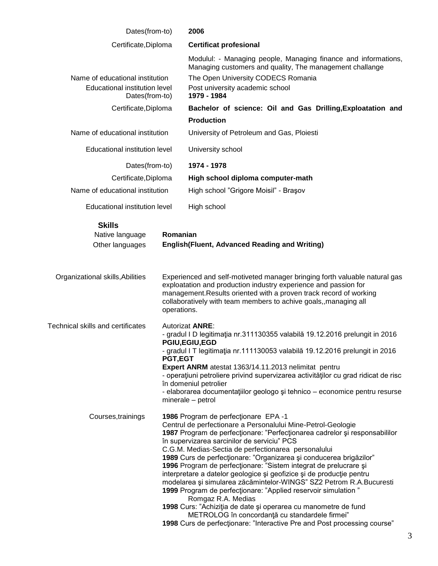| Dates(from-to)                                                                     |                                                                                                                                                                                                                                                                                                                                                                                                                                                                                                                                                                                                                                                                                                                                                                                                                                                                           | 2006                                                                                                                                                                                                               |
|------------------------------------------------------------------------------------|---------------------------------------------------------------------------------------------------------------------------------------------------------------------------------------------------------------------------------------------------------------------------------------------------------------------------------------------------------------------------------------------------------------------------------------------------------------------------------------------------------------------------------------------------------------------------------------------------------------------------------------------------------------------------------------------------------------------------------------------------------------------------------------------------------------------------------------------------------------------------|--------------------------------------------------------------------------------------------------------------------------------------------------------------------------------------------------------------------|
| Certificate, Diploma                                                               |                                                                                                                                                                                                                                                                                                                                                                                                                                                                                                                                                                                                                                                                                                                                                                                                                                                                           | <b>Certificat profesional</b>                                                                                                                                                                                      |
| Name of educational institution<br>Educational institution level<br>Dates(from-to) |                                                                                                                                                                                                                                                                                                                                                                                                                                                                                                                                                                                                                                                                                                                                                                                                                                                                           | Modulul: - Managing people, Managing finance and informations,<br>Managing customers and quality, The management challange<br>The Open University CODECS Romania<br>Post university academic school<br>1979 - 1984 |
| Certificate, Diploma                                                               |                                                                                                                                                                                                                                                                                                                                                                                                                                                                                                                                                                                                                                                                                                                                                                                                                                                                           | Bachelor of science: Oil and Gas Drilling, Exploatation and                                                                                                                                                        |
|                                                                                    |                                                                                                                                                                                                                                                                                                                                                                                                                                                                                                                                                                                                                                                                                                                                                                                                                                                                           | <b>Production</b>                                                                                                                                                                                                  |
| Name of educational institution                                                    |                                                                                                                                                                                                                                                                                                                                                                                                                                                                                                                                                                                                                                                                                                                                                                                                                                                                           | University of Petroleum and Gas, Ploiesti                                                                                                                                                                          |
| Educational institution level                                                      |                                                                                                                                                                                                                                                                                                                                                                                                                                                                                                                                                                                                                                                                                                                                                                                                                                                                           | University school                                                                                                                                                                                                  |
| Dates(from-to)                                                                     |                                                                                                                                                                                                                                                                                                                                                                                                                                                                                                                                                                                                                                                                                                                                                                                                                                                                           | 1974 - 1978                                                                                                                                                                                                        |
| Certificate, Diploma                                                               |                                                                                                                                                                                                                                                                                                                                                                                                                                                                                                                                                                                                                                                                                                                                                                                                                                                                           | High school diploma computer-math                                                                                                                                                                                  |
| Name of educational institution                                                    |                                                                                                                                                                                                                                                                                                                                                                                                                                                                                                                                                                                                                                                                                                                                                                                                                                                                           | High school "Grigore Moisil" - Braşov                                                                                                                                                                              |
| Educational institution level                                                      |                                                                                                                                                                                                                                                                                                                                                                                                                                                                                                                                                                                                                                                                                                                                                                                                                                                                           | High school                                                                                                                                                                                                        |
| <b>Skills</b><br>Native language<br>Other languages                                | Romanian                                                                                                                                                                                                                                                                                                                                                                                                                                                                                                                                                                                                                                                                                                                                                                                                                                                                  | <b>English (Fluent, Advanced Reading and Writing)</b>                                                                                                                                                              |
| Organizational skills, Abilities                                                   | Experienced and self-motiveted manager bringing forth valuable natural gas<br>exploatation and production industry experience and passion for<br>management. Results oriented with a proven track record of working<br>collaboratively with team members to achive goals,, managing all<br>operations.                                                                                                                                                                                                                                                                                                                                                                                                                                                                                                                                                                    |                                                                                                                                                                                                                    |
| <b>Technical skills and certificates</b>                                           | Autorizat <b>ANRE:</b><br>- gradul I D legitimația nr.311130355 valabilă 19.12.2016 prelungit in 2016<br><b>PGIU, EGIU, EGD</b><br>- gradul I T legitimația nr.111130053 valabilă 19.12.2016 prelungit in 2016<br><b>PGT,EGT</b><br>Expert ANRM atestat 1363/14.11.2013 nelimitat pentru<br>- operațiuni petroliere privind supervizarea activităților cu grad ridicat de risc<br>în domeniul petrolier<br>- elaborarea documentațiilor geologo și tehnico – economice pentru resurse<br>minerale - petrol                                                                                                                                                                                                                                                                                                                                                                |                                                                                                                                                                                                                    |
| Courses, trainings                                                                 | 1986 Program de perfecționare EPA -1<br>Centrul de perfectionare a Personalului Mine-Petrol-Geologie<br>1987 Program de perfecționare: "Perfecționarea cadrelor și responsabililor<br>în supervizarea sarcinilor de serviciu" PCS<br>C.G.M. Medias-Sectia de perfectionarea personalului<br>1989 Curs de perfecționare: "Organizarea și conducerea brigăzilor"<br>1996 Program de perfecționare: "Sistem integrat de prelucrare și<br>interpretare a datelor geologice și geofizice și de producție pentru<br>modelarea și simularea zăcămintelor-WINGS" SZ2 Petrom R.A.Bucuresti<br>1999 Program de perfecționare: "Applied reservoir simulation "<br>Romgaz R.A. Medias<br>1998 Curs: "Achiziția de date și operarea cu manometre de fund<br>METROLOG în concordanță cu standardele firmei"<br>1998 Curs de perfectionare: "Interactive Pre and Post processing course" |                                                                                                                                                                                                                    |